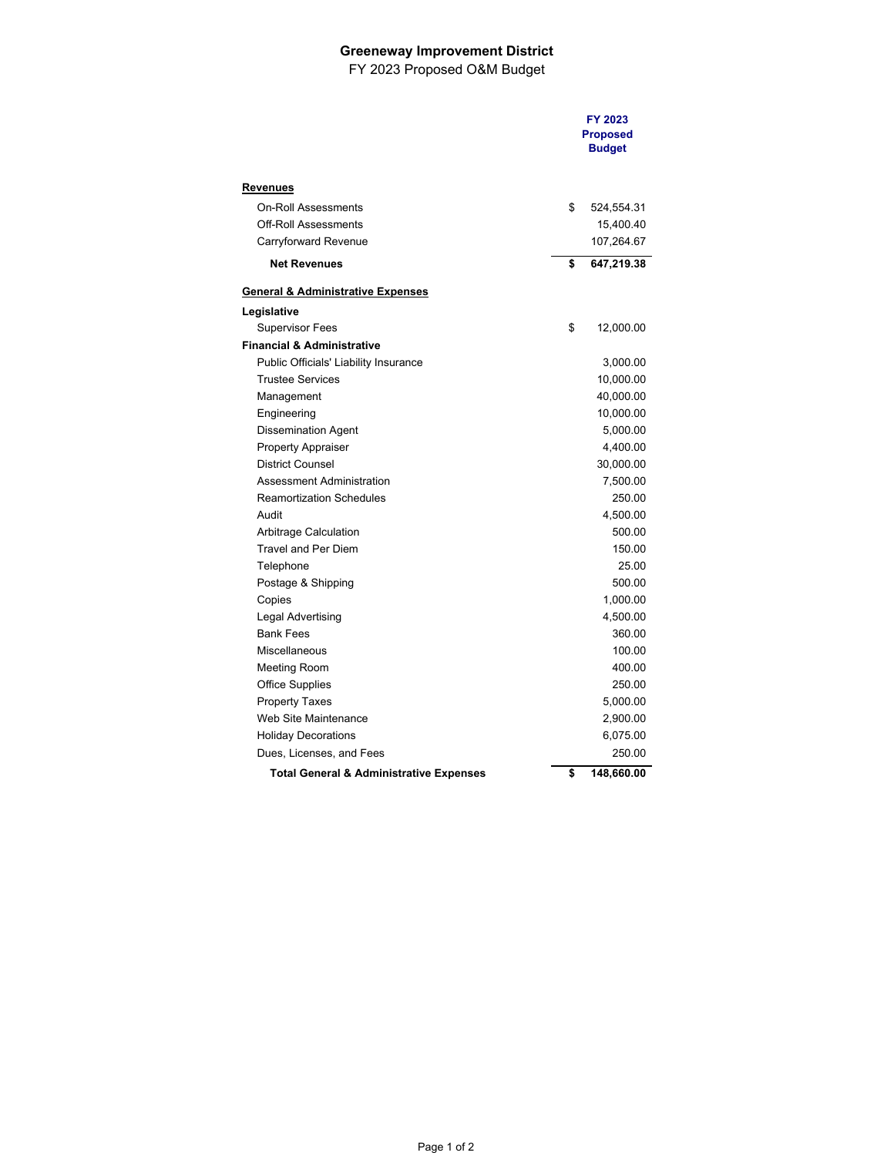## **Greeneway Improvement District**

FY 2023 Proposed O&M Budget

|                                                    | FY 2023<br><b>Proposed</b><br><b>Budget</b> |
|----------------------------------------------------|---------------------------------------------|
| Revenues                                           |                                             |
| <b>On-Roll Assessments</b>                         | \$<br>524,554.31                            |
| <b>Off-Roll Assessments</b>                        | 15,400.40                                   |
| Carryforward Revenue                               | 107,264.67                                  |
| <b>Net Revenues</b>                                | \$<br>647,219.38                            |
| General & Administrative Expenses                  |                                             |
| Legislative                                        |                                             |
| <b>Supervisor Fees</b>                             | \$<br>12,000.00                             |
| Financial & Administrative                         |                                             |
| Public Officials' Liability Insurance              | 3,000.00                                    |
| <b>Trustee Services</b>                            | 10,000.00                                   |
| Management                                         | 40,000.00                                   |
| Engineering                                        | 10,000.00                                   |
| <b>Dissemination Agent</b>                         | 5,000.00                                    |
| <b>Property Appraiser</b>                          | 4,400.00                                    |
| <b>District Counsel</b>                            | 30,000.00                                   |
| Assessment Administration                          | 7,500.00                                    |
| <b>Reamortization Schedules</b>                    | 250.00                                      |
| Audit                                              | 4,500.00                                    |
| Arbitrage Calculation                              | 500.00                                      |
| <b>Travel and Per Diem</b>                         | 150.00                                      |
| Telephone                                          | 25.00                                       |
| Postage & Shipping                                 | 500.00                                      |
| Copies                                             | 1,000.00                                    |
| Legal Advertising                                  | 4,500.00                                    |
| <b>Bank Fees</b>                                   | 360.00                                      |
| Miscellaneous                                      | 100.00                                      |
| Meeting Room                                       | 400.00                                      |
| <b>Office Supplies</b>                             | 250.00                                      |
| <b>Property Taxes</b>                              | 5,000.00                                    |
| Web Site Maintenance                               | 2,900.00                                    |
| <b>Holiday Decorations</b>                         | 6,075.00                                    |
| Dues, Licenses, and Fees                           | 250.00                                      |
| <b>Total General &amp; Administrative Expenses</b> | \$<br>148,660.00                            |